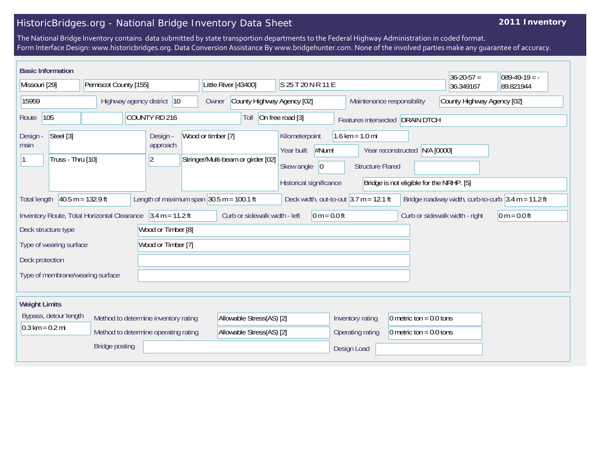## HistoricBridges.org - National Bridge Inventory Data Sheet

## **2011 Inventory**

The National Bridge Inventory contains data submitted by state transportion departments to the Federal Highway Administration in coded format. Form Interface Design: www.historicbridges.org. Data Conversion Assistance By www.bridgehunter.com. None of the involved parties make any guarantee of accuracy.

|                                               | <b>Basic Information</b>       |                                                                                    |  |                                                             |                                                              |                                    |                                                  |                                                                                                                                                    |                                                          | $36 - 20 - 57 =$               | $089-49-19 = -$                                                                          |
|-----------------------------------------------|--------------------------------|------------------------------------------------------------------------------------|--|-------------------------------------------------------------|--------------------------------------------------------------|------------------------------------|--------------------------------------------------|----------------------------------------------------------------------------------------------------------------------------------------------------|----------------------------------------------------------|--------------------------------|------------------------------------------------------------------------------------------|
| Missouri [29]                                 |                                | Pemiscot County [155]                                                              |  |                                                             |                                                              | Little River [43400]               |                                                  | S 25 T 20 N R 11 E                                                                                                                                 |                                                          |                                | 89.821944                                                                                |
| 15959                                         |                                | Highway agency district 10                                                         |  |                                                             | Owner                                                        |                                    | County Highway Agency [02]                       |                                                                                                                                                    | County Highway Agency [02]<br>Maintenance responsibility |                                |                                                                                          |
| 105<br>COUNTY RD 216<br>Route                 |                                |                                                                                    |  | On free road [3]<br>Toll<br>Features intersected DRAIN DTCH |                                                              |                                    |                                                  |                                                                                                                                                    |                                                          |                                |                                                                                          |
| Design -<br>main                              | Steel [3]<br>Truss - Thru [10] |                                                                                    |  | Design -<br>Wood or timber [7]<br>approach<br>$ 2\rangle$   |                                                              | Stringer/Multi-beam or girder [02] | Kilometerpoint<br>Year built<br>Skew angle<br> 0 | $1.6 \text{ km} = 1.0 \text{ mi}$<br>#Num!<br>Year reconstructed N/A [0000]<br><b>Structure Flared</b><br>Bridge is not eligible for the NRHP. [5] |                                                          |                                |                                                                                          |
| <b>Total length</b>                           |                                | $40.5 m = 132.9 ft$<br>Inventory Route, Total Horizontal Clearance 3.4 m = 11.2 ft |  |                                                             | Length of maximum span $ 30.5 \text{ m} = 100.1 \text{ ft} $ | Curb or sidewalk width - left      | Historical significance<br>$0 m = 0.0 ft$        | Deck width, out-to-out $3.7$ m = 12.1 ft                                                                                                           |                                                          | Curb or sidewalk width - right | Bridge roadway width, curb-to-curb $ 3.4 \text{ m} = 11.2 \text{ ft} $<br>$0 m = 0.0 ft$ |
|                                               | Deck structure type            |                                                                                    |  | Wood or Timber [8]                                          |                                                              |                                    |                                                  |                                                                                                                                                    |                                                          |                                |                                                                                          |
| Wood or Timber [7]<br>Type of wearing surface |                                |                                                                                    |  |                                                             |                                                              |                                    |                                                  |                                                                                                                                                    |                                                          |                                |                                                                                          |
| Deck protection                               |                                |                                                                                    |  |                                                             |                                                              |                                    |                                                  |                                                                                                                                                    |                                                          |                                |                                                                                          |
|                                               |                                | Type of membrane/wearing surface                                                   |  |                                                             |                                                              |                                    |                                                  |                                                                                                                                                    |                                                          |                                |                                                                                          |
| <b>Weight Limits</b>                          |                                |                                                                                    |  |                                                             |                                                              |                                    |                                                  |                                                                                                                                                    |                                                          |                                |                                                                                          |
| Bypass, detour length                         |                                |                                                                                    |  | Method to determine inventory rating                        |                                                              | Allowable Stress(AS) [2]           |                                                  | Inventory rating<br>0 metric ton = $0.0$ tons                                                                                                      |                                                          |                                |                                                                                          |
| $0.3 \text{ km} = 0.2 \text{ mi}$             |                                | Method to determine operating rating                                               |  |                                                             | Allowable Stress(AS) [2]                                     |                                    | Operating rating                                 | 0 metric ton = $0.0$ tons                                                                                                                          |                                                          |                                |                                                                                          |
| <b>Bridge posting</b>                         |                                |                                                                                    |  |                                                             |                                                              | Design Load                        |                                                  |                                                                                                                                                    |                                                          |                                |                                                                                          |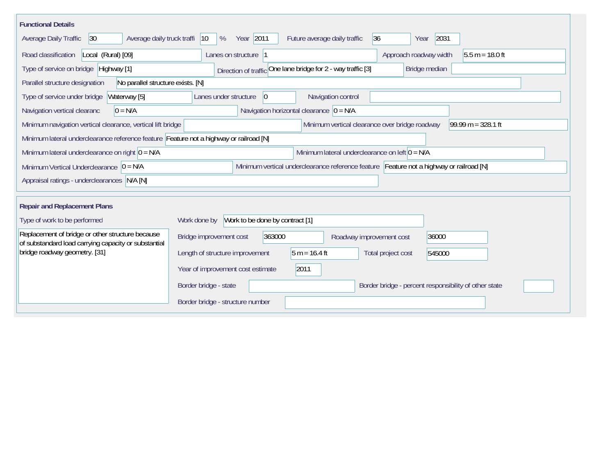| <b>Functional Details</b>                                                                                                                             |                                                                                         |  |  |  |  |  |  |  |  |  |
|-------------------------------------------------------------------------------------------------------------------------------------------------------|-----------------------------------------------------------------------------------------|--|--|--|--|--|--|--|--|--|
| Year 2011<br>2031<br>Average daily truck traffi<br> 36 <br> 30 <br>$ 10\rangle$<br>%<br>Future average daily traffic<br>Average Daily Traffic<br>Year |                                                                                         |  |  |  |  |  |  |  |  |  |
| Road classification<br>Local (Rural) [09]                                                                                                             | Approach roadway width<br>Lanes on structure  1<br>$5.5 m = 18.0 ft$                    |  |  |  |  |  |  |  |  |  |
| Type of service on bridge Highway [1]                                                                                                                 | Direction of traffic One lane bridge for 2 - way traffic [3]<br>Bridge median           |  |  |  |  |  |  |  |  |  |
| No parallel structure exists. [N]<br>Parallel structure designation                                                                                   |                                                                                         |  |  |  |  |  |  |  |  |  |
| Type of service under bridge<br>Waterway [5]                                                                                                          | Navigation control<br>$ 0\rangle$<br>Lanes under structure                              |  |  |  |  |  |  |  |  |  |
| Navigation horizontal clearance $ 0 = N/A$<br>$0 = N/A$<br>Navigation vertical clearanc                                                               |                                                                                         |  |  |  |  |  |  |  |  |  |
| 99.99 m = $328.1$ ft<br>Minimum vertical clearance over bridge roadway<br>Minimum navigation vertical clearance, vertical lift bridge                 |                                                                                         |  |  |  |  |  |  |  |  |  |
| Minimum lateral underclearance reference feature Feature not a highway or railroad [N]                                                                |                                                                                         |  |  |  |  |  |  |  |  |  |
| Minimum lateral underclearance on left $0 = N/A$<br>Minimum lateral underclearance on right $0 = N/A$                                                 |                                                                                         |  |  |  |  |  |  |  |  |  |
| Minimum Vertical Underclearance $ 0 = N/A$                                                                                                            | Minimum vertical underclearance reference feature Feature not a highway or railroad [N] |  |  |  |  |  |  |  |  |  |
| Appraisal ratings - underclearances N/A [N]                                                                                                           |                                                                                         |  |  |  |  |  |  |  |  |  |
|                                                                                                                                                       |                                                                                         |  |  |  |  |  |  |  |  |  |
| <b>Repair and Replacement Plans</b>                                                                                                                   |                                                                                         |  |  |  |  |  |  |  |  |  |
| Type of work to be performed                                                                                                                          | Work to be done by contract [1]<br>Work done by                                         |  |  |  |  |  |  |  |  |  |
| Replacement of bridge or other structure because<br>of substandard load carrying capacity or substantial                                              | 363000<br>Bridge improvement cost<br>36000<br>Roadway improvement cost                  |  |  |  |  |  |  |  |  |  |
| bridge roadway geometry. [31]                                                                                                                         | Length of structure improvement<br>$5 m = 16.4 ft$<br>Total project cost<br>545000      |  |  |  |  |  |  |  |  |  |
|                                                                                                                                                       | Year of improvement cost estimate<br>2011                                               |  |  |  |  |  |  |  |  |  |
|                                                                                                                                                       | Border bridge - state<br>Border bridge - percent responsibility of other state          |  |  |  |  |  |  |  |  |  |
|                                                                                                                                                       | Border bridge - structure number                                                        |  |  |  |  |  |  |  |  |  |